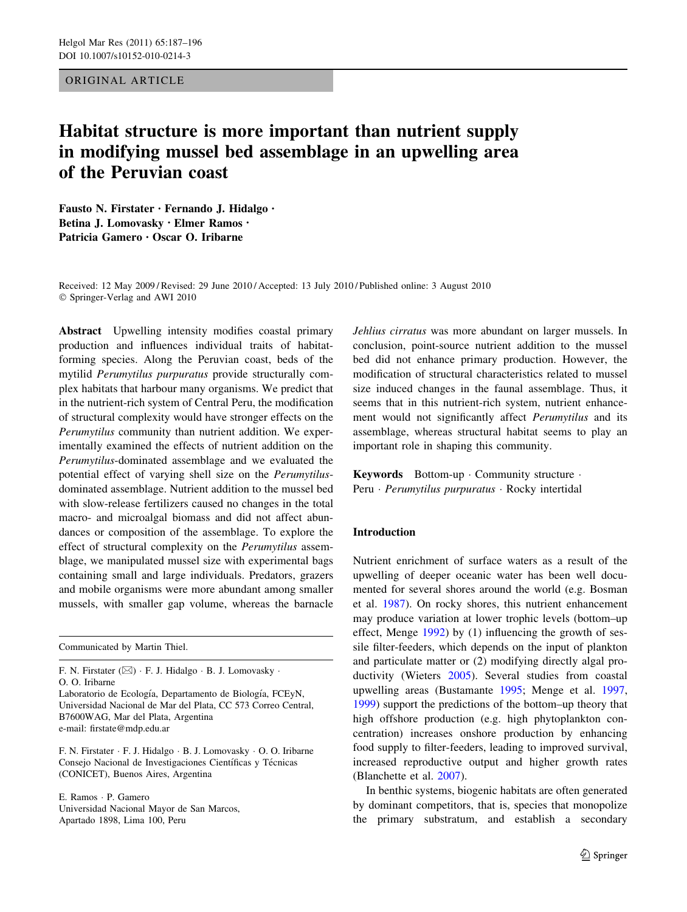## ORIGINAL ARTICLE

# Habitat structure is more important than nutrient supply in modifying mussel bed assemblage in an upwelling area of the Peruvian coast

Fausto N. Firstater • Fernando J. Hidalgo • Betina J. Lomovasky • Elmer Ramos • Patricia Gamero • Oscar O. Iribarne

Received: 12 May 2009 / Revised: 29 June 2010 / Accepted: 13 July 2010 / Published online: 3 August 2010 © Springer-Verlag and AWI 2010

Abstract Upwelling intensity modifies coastal primary production and influences individual traits of habitatforming species. Along the Peruvian coast, beds of the mytilid Perumytilus purpuratus provide structurally complex habitats that harbour many organisms. We predict that in the nutrient-rich system of Central Peru, the modification of structural complexity would have stronger effects on the Perumytilus community than nutrient addition. We experimentally examined the effects of nutrient addition on the Perumytilus-dominated assemblage and we evaluated the potential effect of varying shell size on the Perumytilusdominated assemblage. Nutrient addition to the mussel bed with slow-release fertilizers caused no changes in the total macro- and microalgal biomass and did not affect abundances or composition of the assemblage. To explore the effect of structural complexity on the Perumytilus assemblage, we manipulated mussel size with experimental bags containing small and large individuals. Predators, grazers and mobile organisms were more abundant among smaller mussels, with smaller gap volume, whereas the barnacle

Communicated by Martin Thiel.

F. N. Firstater (⊠) · F. J. Hidalgo · B. J. Lomovasky · O. O. Iribarne

Laboratorio de Ecología, Departamento de Biología, FCEyN, Universidad Nacional de Mar del Plata, CC 573 Correo Central, B7600WAG, Mar del Plata, Argentina e-mail: firstate@mdp.edu.ar

F. N. Firstater · F. J. Hidalgo · B. J. Lomovasky · O. O. Iribarne Consejo Nacional de Investigaciones Científicas y Técnicas (CONICET), Buenos Aires, Argentina

E. Ramos - P. Gamero Universidad Nacional Mayor de San Marcos, Apartado 1898, Lima 100, Peru

Jehlius cirratus was more abundant on larger mussels. In conclusion, point-source nutrient addition to the mussel bed did not enhance primary production. However, the modification of structural characteristics related to mussel size induced changes in the faunal assemblage. Thus, it seems that in this nutrient-rich system, nutrient enhancement would not significantly affect Perumytilus and its assemblage, whereas structural habitat seems to play an important role in shaping this community.

Keywords Bottom-up - Community structure - Peru · Perumytilus purpuratus · Rocky intertidal

#### Introduction

Nutrient enrichment of surface waters as a result of the upwelling of deeper oceanic water has been well documented for several shores around the world (e.g. Bosman et al. [1987\)](#page-8-0). On rocky shores, this nutrient enhancement may produce variation at lower trophic levels (bottom–up effect, Menge [1992](#page-8-0)) by (1) influencing the growth of sessile filter-feeders, which depends on the input of plankton and particulate matter or (2) modifying directly algal productivity (Wieters [2005\)](#page-9-0). Several studies from coastal upwelling areas (Bustamante [1995](#page-8-0); Menge et al. [1997,](#page-8-0) [1999](#page-8-0)) support the predictions of the bottom–up theory that high offshore production (e.g. high phytoplankton concentration) increases onshore production by enhancing food supply to filter-feeders, leading to improved survival, increased reproductive output and higher growth rates (Blanchette et al. [2007](#page-8-0)).

In benthic systems, biogenic habitats are often generated by dominant competitors, that is, species that monopolize the primary substratum, and establish a secondary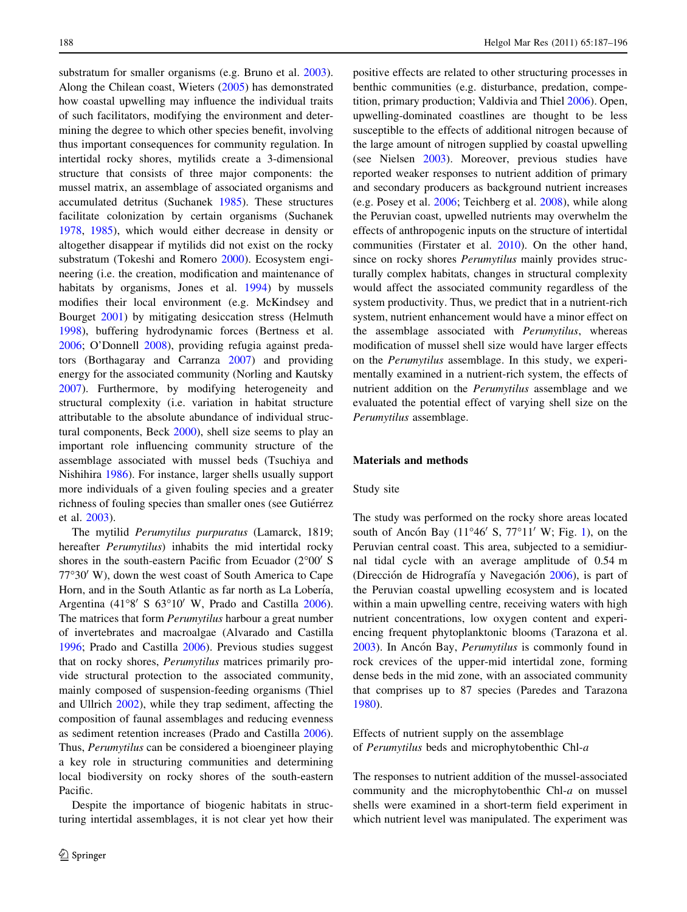substratum for smaller organisms (e.g. Bruno et al. [2003](#page-8-0)). Along the Chilean coast, Wieters [\(2005](#page-9-0)) has demonstrated how coastal upwelling may influence the individual traits of such facilitators, modifying the environment and determining the degree to which other species benefit, involving thus important consequences for community regulation. In intertidal rocky shores, mytilids create a 3-dimensional structure that consists of three major components: the mussel matrix, an assemblage of associated organisms and accumulated detritus (Suchanek [1985\)](#page-9-0). These structures facilitate colonization by certain organisms (Suchanek [1978,](#page-9-0) [1985](#page-9-0)), which would either decrease in density or altogether disappear if mytilids did not exist on the rocky substratum (Tokeshi and Romero [2000\)](#page-9-0). Ecosystem engineering (i.e. the creation, modification and maintenance of habitats by organisms, Jones et al. [1994\)](#page-8-0) by mussels modifies their local environment (e.g. McKindsey and Bourget [2001](#page-8-0)) by mitigating desiccation stress (Helmuth [1998\)](#page-8-0), buffering hydrodynamic forces (Bertness et al. [2006;](#page-8-0) O'Donnell [2008](#page-8-0)), providing refugia against predators (Borthagaray and Carranza [2007](#page-8-0)) and providing energy for the associated community (Norling and Kautsky [2007\)](#page-8-0). Furthermore, by modifying heterogeneity and structural complexity (i.e. variation in habitat structure attributable to the absolute abundance of individual structural components, Beck [2000](#page-8-0)), shell size seems to play an important role influencing community structure of the assemblage associated with mussel beds (Tsuchiya and Nishihira [1986](#page-9-0)). For instance, larger shells usually support more individuals of a given fouling species and a greater richness of fouling species than smaller ones (see Gutiérrez et al. [2003\)](#page-8-0).

The mytilid Perumytilus purpuratus (Lamarck, 1819; hereafter Perumytilus) inhabits the mid intertidal rocky shores in the south-eastern Pacific from Ecuador  $(2^{\circ}00' S)$  $77^{\circ}30'$  W), down the west coast of South America to Cape Horn, and in the South Atlantic as far north as La Lobería, Argentina (41°8′ S  $63^{\circ}10'$  W, Prado and Castilla [2006](#page-9-0)). The matrices that form *Perumytilus* harbour a great number of invertebrates and macroalgae (Alvarado and Castilla [1996;](#page-8-0) Prado and Castilla [2006](#page-9-0)). Previous studies suggest that on rocky shores, Perumytilus matrices primarily provide structural protection to the associated community, mainly composed of suspension-feeding organisms (Thiel and Ullrich [2002\)](#page-9-0), while they trap sediment, affecting the composition of faunal assemblages and reducing evenness as sediment retention increases (Prado and Castilla [2006](#page-9-0)). Thus, Perumytilus can be considered a bioengineer playing a key role in structuring communities and determining local biodiversity on rocky shores of the south-eastern Pacific.

Despite the importance of biogenic habitats in structuring intertidal assemblages, it is not clear yet how their positive effects are related to other structuring processes in benthic communities (e.g. disturbance, predation, competition, primary production; Valdivia and Thiel [2006\)](#page-9-0). Open, upwelling-dominated coastlines are thought to be less susceptible to the effects of additional nitrogen because of the large amount of nitrogen supplied by coastal upwelling (see Nielsen [2003\)](#page-8-0). Moreover, previous studies have reported weaker responses to nutrient addition of primary and secondary producers as background nutrient increases (e.g. Posey et al. [2006](#page-9-0); Teichberg et al. [2008](#page-9-0)), while along the Peruvian coast, upwelled nutrients may overwhelm the effects of anthropogenic inputs on the structure of intertidal communities (Firstater et al. [2010\)](#page-8-0). On the other hand, since on rocky shores Perumytilus mainly provides structurally complex habitats, changes in structural complexity would affect the associated community regardless of the system productivity. Thus, we predict that in a nutrient-rich system, nutrient enhancement would have a minor effect on the assemblage associated with Perumytilus, whereas modification of mussel shell size would have larger effects on the Perumytilus assemblage. In this study, we experimentally examined in a nutrient-rich system, the effects of nutrient addition on the Perumytilus assemblage and we evaluated the potential effect of varying shell size on the Perumytilus assemblage.

## Materials and methods

## Study site

The study was performed on the rocky shore areas located south of Ancón Bay ( $11^{\circ}46'$  S,  $77^{\circ}11'$  W; Fig. [1\)](#page-2-0), on the Peruvian central coast. This area, subjected to a semidiurnal tidal cycle with an average amplitude of 0.54 m (Dirección de Hidrografía y Navegación [2006\)](#page-8-0), is part of the Peruvian coastal upwelling ecosystem and is located within a main upwelling centre, receiving waters with high nutrient concentrations, low oxygen content and experiencing frequent phytoplanktonic blooms (Tarazona et al. [2003](#page-9-0)). In Ancón Bay, Perumytilus is commonly found in rock crevices of the upper-mid intertidal zone, forming dense beds in the mid zone, with an associated community that comprises up to 87 species (Paredes and Tarazona [1980](#page-8-0)).

Effects of nutrient supply on the assemblage of Perumytilus beds and microphytobenthic Chl-a

The responses to nutrient addition of the mussel-associated community and the microphytobenthic Chl-a on mussel shells were examined in a short-term field experiment in which nutrient level was manipulated. The experiment was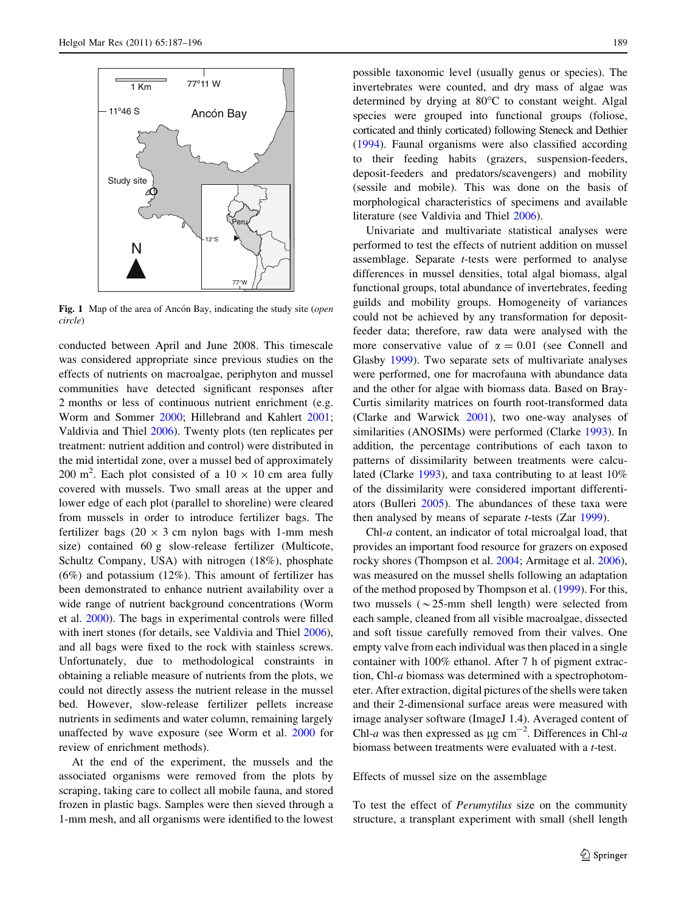<span id="page-2-0"></span>

Fig. 1 Map of the area of Ancón Bay, indicating the study site (open circle)

conducted between April and June 2008. This timescale was considered appropriate since previous studies on the effects of nutrients on macroalgae, periphyton and mussel communities have detected significant responses after 2 months or less of continuous nutrient enrichment (e.g. Worm and Sommer [2000](#page-9-0); Hillebrand and Kahlert [2001](#page-8-0); Valdivia and Thiel [2006\)](#page-9-0). Twenty plots (ten replicates per treatment: nutrient addition and control) were distributed in the mid intertidal zone, over a mussel bed of approximately 200 m<sup>2</sup>. Each plot consisted of a  $10 \times 10$  cm area fully covered with mussels. Two small areas at the upper and lower edge of each plot (parallel to shoreline) were cleared from mussels in order to introduce fertilizer bags. The fertilizer bags (20  $\times$  3 cm nylon bags with 1-mm mesh size) contained 60 g slow-release fertilizer (Multicote, Schultz Company, USA) with nitrogen (18%), phosphate  $(6%)$  and potassium  $(12%)$ . This amount of fertilizer has been demonstrated to enhance nutrient availability over a wide range of nutrient background concentrations (Worm et al. [2000](#page-9-0)). The bags in experimental controls were filled with inert stones (for details, see Valdivia and Thiel [2006](#page-9-0)), and all bags were fixed to the rock with stainless screws. Unfortunately, due to methodological constraints in obtaining a reliable measure of nutrients from the plots, we could not directly assess the nutrient release in the mussel bed. However, slow-release fertilizer pellets increase nutrients in sediments and water column, remaining largely unaffected by wave exposure (see Worm et al. [2000](#page-9-0) for review of enrichment methods).

At the end of the experiment, the mussels and the associated organisms were removed from the plots by scraping, taking care to collect all mobile fauna, and stored frozen in plastic bags. Samples were then sieved through a 1-mm mesh, and all organisms were identified to the lowest possible taxonomic level (usually genus or species). The invertebrates were counted, and dry mass of algae was determined by drying at  $80^{\circ}$ C to constant weight. Algal species were grouped into functional groups (foliose, corticated and thinly corticated) following Steneck and Dethier [\(1994](#page-9-0)). Faunal organisms were also classified according to their feeding habits (grazers, suspension-feeders, deposit-feeders and predators/scavengers) and mobility (sessile and mobile). This was done on the basis of morphological characteristics of specimens and available literature (see Valdivia and Thiel [2006](#page-9-0)).

Univariate and multivariate statistical analyses were performed to test the effects of nutrient addition on mussel assemblage. Separate t-tests were performed to analyse differences in mussel densities, total algal biomass, algal functional groups, total abundance of invertebrates, feeding guilds and mobility groups. Homogeneity of variances could not be achieved by any transformation for depositfeeder data; therefore, raw data were analysed with the more conservative value of  $\alpha = 0.01$  (see Connell and Glasby [1999](#page-8-0)). Two separate sets of multivariate analyses were performed, one for macrofauna with abundance data and the other for algae with biomass data. Based on Bray-Curtis similarity matrices on fourth root-transformed data (Clarke and Warwick [2001](#page-8-0)), two one-way analyses of similarities (ANOSIMs) were performed (Clarke [1993](#page-8-0)). In addition, the percentage contributions of each taxon to patterns of dissimilarity between treatments were calculated (Clarke [1993\)](#page-8-0), and taxa contributing to at least 10% of the dissimilarity were considered important differentiators (Bulleri [2005](#page-8-0)). The abundances of these taxa were then analysed by means of separate t-tests (Zar [1999\)](#page-9-0).

Chl-a content, an indicator of total microalgal load, that provides an important food resource for grazers on exposed rocky shores (Thompson et al. [2004](#page-9-0); Armitage et al. [2006](#page-8-0)), was measured on the mussel shells following an adaptation of the method proposed by Thompson et al. [\(1999](#page-9-0)). For this, two mussels ( $\sim$ 25-mm shell length) were selected from each sample, cleaned from all visible macroalgae, dissected and soft tissue carefully removed from their valves. One empty valve from each individual was then placed in a single container with 100% ethanol. After 7 h of pigment extraction, Chl-a biomass was determined with a spectrophotometer. After extraction, digital pictures of the shells were taken and their 2-dimensional surface areas were measured with image analyser software (ImageJ 1.4). Averaged content of Chl-a was then expressed as  $\mu$ g cm<sup>-2</sup>. Differences in Chl-a biomass between treatments were evaluated with a t-test.

Effects of mussel size on the assemblage

To test the effect of Perumytilus size on the community structure, a transplant experiment with small (shell length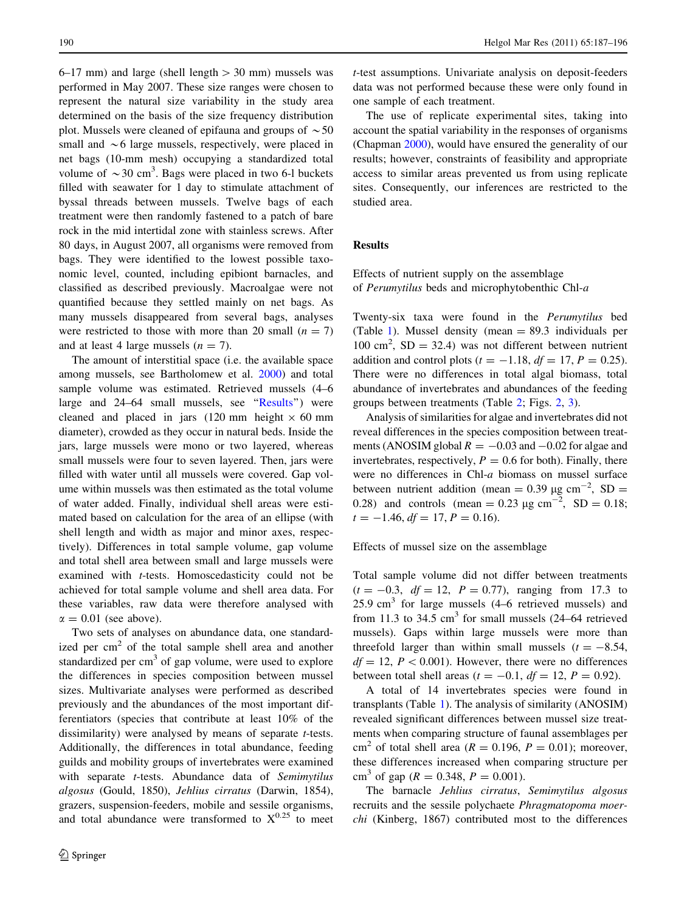$6-17$  mm) and large (shell length  $> 30$  mm) mussels was performed in May 2007. These size ranges were chosen to represent the natural size variability in the study area determined on the basis of the size frequency distribution plot. Mussels were cleaned of epifauna and groups of  $\sim$  50 small and  $\sim$  6 large mussels, respectively, were placed in net bags (10-mm mesh) occupying a standardized total volume of  $\sim$  30 cm<sup>3</sup>. Bags were placed in two 6-l buckets filled with seawater for 1 day to stimulate attachment of byssal threads between mussels. Twelve bags of each treatment were then randomly fastened to a patch of bare rock in the mid intertidal zone with stainless screws. After 80 days, in August 2007, all organisms were removed from bags. They were identified to the lowest possible taxonomic level, counted, including epibiont barnacles, and classified as described previously. Macroalgae were not quantified because they settled mainly on net bags. As many mussels disappeared from several bags, analyses were restricted to those with more than 20 small  $(n = 7)$ and at least 4 large mussels  $(n = 7)$ .

The amount of interstitial space (i.e. the available space among mussels, see Bartholomew et al. [2000](#page-8-0)) and total sample volume was estimated. Retrieved mussels (4–6 large and 24–64 small mussels, see ''Results'') were cleaned and placed in jars (120 mm height  $\times$  60 mm diameter), crowded as they occur in natural beds. Inside the jars, large mussels were mono or two layered, whereas small mussels were four to seven layered. Then, jars were filled with water until all mussels were covered. Gap volume within mussels was then estimated as the total volume of water added. Finally, individual shell areas were estimated based on calculation for the area of an ellipse (with shell length and width as major and minor axes, respectively). Differences in total sample volume, gap volume and total shell area between small and large mussels were examined with t-tests. Homoscedasticity could not be achieved for total sample volume and shell area data. For these variables, raw data were therefore analysed with  $\alpha = 0.01$  (see above).

Two sets of analyses on abundance data, one standardized per  $cm<sup>2</sup>$  of the total sample shell area and another standardized per  $cm<sup>3</sup>$  of gap volume, were used to explore the differences in species composition between mussel sizes. Multivariate analyses were performed as described previously and the abundances of the most important differentiators (species that contribute at least 10% of the dissimilarity) were analysed by means of separate *t*-tests. Additionally, the differences in total abundance, feeding guilds and mobility groups of invertebrates were examined with separate *t*-tests. Abundance data of Semimytilus algosus (Gould, 1850), Jehlius cirratus (Darwin, 1854), grazers, suspension-feeders, mobile and sessile organisms, and total abundance were transformed to  $X^{0.25}$  to meet t-test assumptions. Univariate analysis on deposit-feeders data was not performed because these were only found in one sample of each treatment.

The use of replicate experimental sites, taking into account the spatial variability in the responses of organisms (Chapman [2000](#page-8-0)), would have ensured the generality of our results; however, constraints of feasibility and appropriate access to similar areas prevented us from using replicate sites. Consequently, our inferences are restricted to the studied area.

# Results

Effects of nutrient supply on the assemblage of Perumytilus beds and microphytobenthic Chl-a

Twenty-six taxa were found in the Perumytilus bed (Table [1\)](#page-4-0). Mussel density (mean  $= 89.3$  individuals per 100 cm<sup>2</sup>, SD = 32.4) was not different between nutrient addition and control plots ( $t = -1.18$ ,  $df = 17$ ,  $P = 0.25$ ). There were no differences in total algal biomass, total abundance of invertebrates and abundances of the feeding groups between treatments (Table [2;](#page-5-0) Figs. [2,](#page-5-0) [3\)](#page-6-0).

Analysis of similarities for algae and invertebrates did not reveal differences in the species composition between treatments (ANOSIM global  $R = -0.03$  and  $-0.02$  for algae and invertebrates, respectively,  $P = 0.6$  for both). Finally, there were no differences in Chl-a biomass on mussel surface between nutrient addition (mean =  $0.39 \mu g \text{ cm}^{-2}$ , SD = 0.28) and controls (mean =  $0.23 \,\mu$ g cm<sup>-2</sup>, SD = 0.18;  $t = -1.46$ ,  $df = 17$ ,  $P = 0.16$ ).

Effects of mussel size on the assemblage

Total sample volume did not differ between treatments  $(t = -0.3, df = 12, P = 0.77)$ , ranging from 17.3 to 25.9 cm<sup>3</sup> for large mussels (4–6 retrieved mussels) and from 11.3 to 34.5  $\text{cm}^3$  for small mussels (24–64 retrieved mussels). Gaps within large mussels were more than threefold larger than within small mussels  $(t = -8.54,$  $df = 12$ ,  $P < 0.001$ ). However, there were no differences between total shell areas ( $t = -0.1$ ,  $df = 12$ ,  $P = 0.92$ ).

A total of 14 invertebrates species were found in transplants (Table [1](#page-4-0)). The analysis of similarity (ANOSIM) revealed significant differences between mussel size treatments when comparing structure of faunal assemblages per cm<sup>2</sup> of total shell area ( $R = 0.196$ ,  $P = 0.01$ ); moreover, these differences increased when comparing structure per cm<sup>3</sup> of gap ( $R = 0.348$ ,  $P = 0.001$ ).

The barnacle Jehlius cirratus, Semimytilus algosus recruits and the sessile polychaete Phragmatopoma moerchi (Kinberg, 1867) contributed most to the differences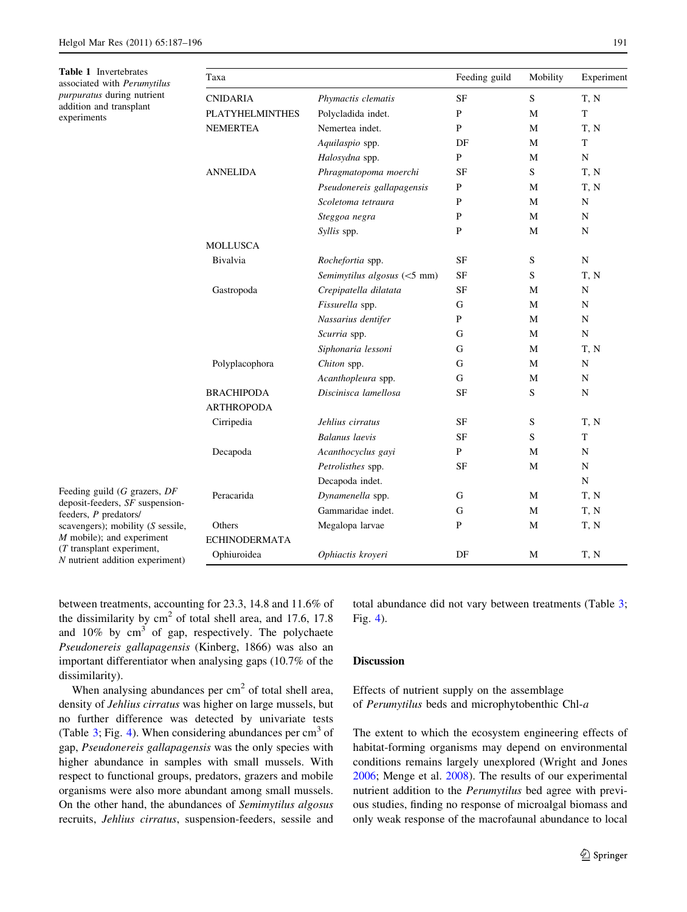<span id="page-4-0"></span>

| <b>Table 1</b> Invertebrates<br>associated with Perumytilus<br>purpuratus during nutrient<br>addition and transplant<br>experiments                                                                                            | Taxa                   |                             | Feeding guild | Mobility    | Experiment  |
|--------------------------------------------------------------------------------------------------------------------------------------------------------------------------------------------------------------------------------|------------------------|-----------------------------|---------------|-------------|-------------|
|                                                                                                                                                                                                                                | <b>CNIDARIA</b>        | Phymactis clematis          | <b>SF</b>     | S           | T, N        |
|                                                                                                                                                                                                                                | <b>PLATYHELMINTHES</b> | Polycladida indet.          | $\mathbf{P}$  | M           | T           |
|                                                                                                                                                                                                                                | <b>NEMERTEA</b>        | Nemertea indet.             | P             | M           | T, N        |
|                                                                                                                                                                                                                                |                        | Aquilaspio spp.             | DF            | M           | $\mathbf T$ |
|                                                                                                                                                                                                                                |                        | Halosydna spp.              | ${\bf P}$     | M           | ${\bf N}$   |
|                                                                                                                                                                                                                                | <b>ANNELIDA</b>        | Phragmatopoma moerchi       | <b>SF</b>     | ${\bf S}$   | T, N        |
|                                                                                                                                                                                                                                |                        | Pseudonereis gallapagensis  | P             | М           | T, N        |
|                                                                                                                                                                                                                                |                        | Scoletoma tetraura          | P             | M           | ${\bf N}$   |
|                                                                                                                                                                                                                                |                        | Steggoa negra               | P             | M           | ${\bf N}$   |
|                                                                                                                                                                                                                                |                        | Syllis spp.                 | P             | М           | ${\bf N}$   |
|                                                                                                                                                                                                                                | <b>MOLLUSCA</b>        |                             |               |             |             |
|                                                                                                                                                                                                                                | Bivalvia               | Rochefortia spp.            | <b>SF</b>     | S           | ${\bf N}$   |
|                                                                                                                                                                                                                                |                        | Semimytilus algosus (<5 mm) | <b>SF</b>     | S           | T, N        |
|                                                                                                                                                                                                                                | Gastropoda             | Crepipatella dilatata       | <b>SF</b>     | М           | $\mathbf N$ |
|                                                                                                                                                                                                                                |                        | Fissurella spp.             | G             | М           | $\mathbf N$ |
|                                                                                                                                                                                                                                |                        | Nassarius dentifer          | P             | M           | ${\bf N}$   |
|                                                                                                                                                                                                                                |                        | Scurria spp.                | ${\bf G}$     | M           | ${\bf N}$   |
|                                                                                                                                                                                                                                |                        | Siphonaria lessoni          | ${\bf G}$     | M           | T, N        |
|                                                                                                                                                                                                                                | Polyplacophora         | Chiton spp.                 | ${\bf G}$     | M           | ${\bf N}$   |
|                                                                                                                                                                                                                                |                        | Acanthopleura spp.          | G             | M           | $\mathbf N$ |
|                                                                                                                                                                                                                                | <b>BRACHIPODA</b>      | Discinisca lamellosa        | <b>SF</b>     | S           | $\mathbf N$ |
|                                                                                                                                                                                                                                | <b>ARTHROPODA</b>      |                             |               |             |             |
|                                                                                                                                                                                                                                | Cirripedia             | Jehlius cirratus            | <b>SF</b>     | S           | T, N        |
|                                                                                                                                                                                                                                |                        | <b>Balanus</b> laevis       | <b>SF</b>     | S           | T           |
|                                                                                                                                                                                                                                | Decapoda               | Acanthocyclus gayi          | ${\bf P}$     | М           | ${\bf N}$   |
|                                                                                                                                                                                                                                |                        | Petrolisthes spp.           | <b>SF</b>     | M           | ${\bf N}$   |
|                                                                                                                                                                                                                                |                        | Decapoda indet.             |               |             | ${\bf N}$   |
| Feeding guild (G grazers, DF<br>deposit-feeders, SF suspension-<br>feeders, P predators/<br>scavengers); mobility (S sessile,<br>$M$ mobile); and experiment<br>$(T$ transplant experiment,<br>N nutrient addition experiment) | Peracarida             | Dynamenella spp.            | G             | M           | T, N        |
|                                                                                                                                                                                                                                |                        | Gammaridae indet.           | ${\bf G}$     | M           | T, N        |
|                                                                                                                                                                                                                                | Others                 | Megalopa larvae             | P             | $\mathbf M$ | T, N        |
|                                                                                                                                                                                                                                | <b>ECHINODERMATA</b>   |                             |               |             |             |
|                                                                                                                                                                                                                                | Ophiuroidea            | Ophiactis kroyeri           | DF            | М           | T, N        |

between treatments, accounting for 23.3, 14.8 and 11.6% of the dissimilarity by  $cm<sup>2</sup>$  of total shell area, and 17.6, 17.8 and  $10\%$  by  $cm^3$  of gap, respectively. The polychaete Pseudonereis gallapagensis (Kinberg, 1866) was also an important differentiator when analysing gaps (10.7% of the dissimilarity).

When analysing abundances per  $\text{cm}^2$  of total shell area, density of Jehlius cirratus was higher on large mussels, but no further difference was detected by univariate tests (Table [3](#page-6-0); Fig. [4\)](#page-7-0). When considering abundances per  $\text{cm}^3$  of gap, Pseudonereis gallapagensis was the only species with higher abundance in samples with small mussels. With respect to functional groups, predators, grazers and mobile organisms were also more abundant among small mussels. On the other hand, the abundances of Semimytilus algosus recruits, Jehlius cirratus, suspension-feeders, sessile and total abundance did not vary between treatments (Table [3](#page-6-0); Fig. [4](#page-7-0)).

## Discussion

Effects of nutrient supply on the assemblage of Perumytilus beds and microphytobenthic Chl-a

The extent to which the ecosystem engineering effects of habitat-forming organisms may depend on environmental conditions remains largely unexplored (Wright and Jones [2006](#page-9-0); Menge et al. [2008\)](#page-8-0). The results of our experimental nutrient addition to the Perumytilus bed agree with previous studies, finding no response of microalgal biomass and only weak response of the macrofaunal abundance to local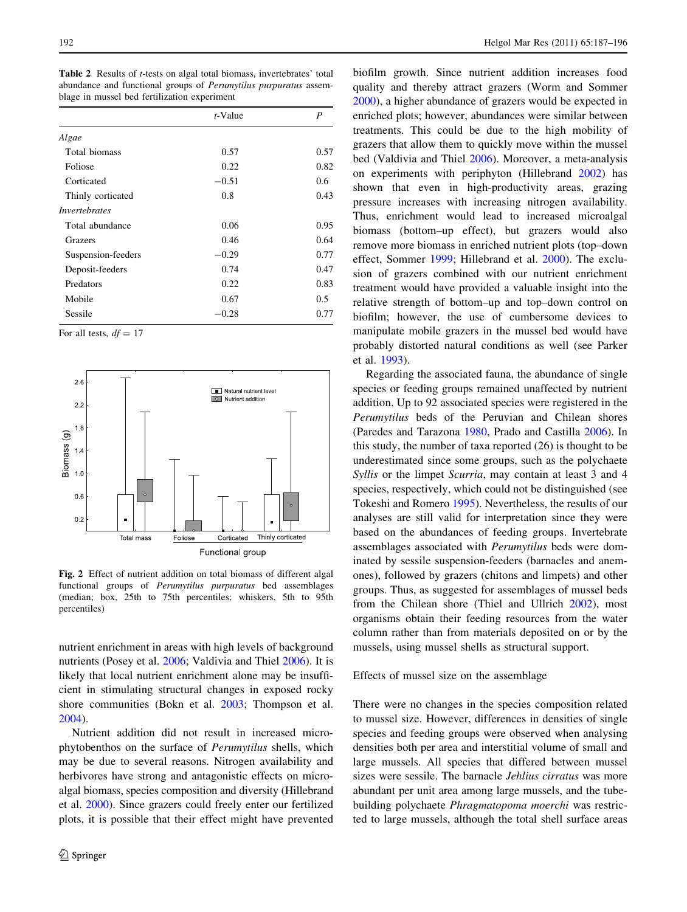<span id="page-5-0"></span>Table 2 Results of *t*-tests on algal total biomass, invertebrates' total abundance and functional groups of Perumytilus purpuratus assemblage in mussel bed fertilization experiment

|                      | $t$ -Value | P             |
|----------------------|------------|---------------|
| Algae                |            |               |
| Total biomass        | 0.57       | 0.57          |
| Foliose              | 0.22       | 0.82          |
| Corticated           | $-0.51$    | $0.6^{\circ}$ |
| Thinly corticated    | 0.8        | 0.43          |
| <i>Invertebrates</i> |            |               |
| Total abundance      | 0.06       | 0.95          |
| Grazers              | 0.46       | 0.64          |
| Suspension-feeders   | $-0.29$    | 0.77          |
| Deposit-feeders      | 0.74       | 0.47          |
| Predators            | 0.22       | 0.83          |
| Mobile               | 0.67       | $0.5^{\circ}$ |
| Sessile              | $-0.28$    | 0.77          |

For all tests,  $df = 17$ 



Fig. 2 Effect of nutrient addition on total biomass of different algal functional groups of Perumytilus purpuratus bed assemblages (median; box, 25th to 75th percentiles; whiskers, 5th to 95th percentiles)

nutrient enrichment in areas with high levels of background nutrients (Posey et al. [2006](#page-9-0); Valdivia and Thiel [2006](#page-9-0)). It is likely that local nutrient enrichment alone may be insufficient in stimulating structural changes in exposed rocky shore communities (Bokn et al. [2003](#page-8-0); Thompson et al. [2004\)](#page-9-0).

Nutrient addition did not result in increased microphytobenthos on the surface of Perumytilus shells, which may be due to several reasons. Nitrogen availability and herbivores have strong and antagonistic effects on microalgal biomass, species composition and diversity (Hillebrand et al. [2000](#page-8-0)). Since grazers could freely enter our fertilized plots, it is possible that their effect might have prevented

biofilm growth. Since nutrient addition increases food quality and thereby attract grazers (Worm and Sommer [2000](#page-9-0)), a higher abundance of grazers would be expected in enriched plots; however, abundances were similar between treatments. This could be due to the high mobility of grazers that allow them to quickly move within the mussel bed (Valdivia and Thiel [2006](#page-9-0)). Moreover, a meta-analysis on experiments with periphyton (Hillebrand [2002\)](#page-8-0) has shown that even in high-productivity areas, grazing pressure increases with increasing nitrogen availability. Thus, enrichment would lead to increased microalgal biomass (bottom–up effect), but grazers would also remove more biomass in enriched nutrient plots (top–down effect, Sommer [1999;](#page-9-0) Hillebrand et al. [2000](#page-8-0)). The exclusion of grazers combined with our nutrient enrichment treatment would have provided a valuable insight into the relative strength of bottom–up and top–down control on biofilm; however, the use of cumbersome devices to manipulate mobile grazers in the mussel bed would have probably distorted natural conditions as well (see Parker et al. [1993\)](#page-8-0).

Regarding the associated fauna, the abundance of single species or feeding groups remained unaffected by nutrient addition. Up to 92 associated species were registered in the Perumytilus beds of the Peruvian and Chilean shores (Paredes and Tarazona [1980](#page-8-0), Prado and Castilla [2006\)](#page-9-0). In this study, the number of taxa reported (26) is thought to be underestimated since some groups, such as the polychaete Syllis or the limpet Scurria, may contain at least 3 and 4 species, respectively, which could not be distinguished (see Tokeshi and Romero [1995](#page-9-0)). Nevertheless, the results of our analyses are still valid for interpretation since they were based on the abundances of feeding groups. Invertebrate assemblages associated with Perumytilus beds were dominated by sessile suspension-feeders (barnacles and anemones), followed by grazers (chitons and limpets) and other groups. Thus, as suggested for assemblages of mussel beds from the Chilean shore (Thiel and Ullrich [2002\)](#page-9-0), most organisms obtain their feeding resources from the water column rather than from materials deposited on or by the mussels, using mussel shells as structural support.

#### Effects of mussel size on the assemblage

There were no changes in the species composition related to mussel size. However, differences in densities of single species and feeding groups were observed when analysing densities both per area and interstitial volume of small and large mussels. All species that differed between mussel sizes were sessile. The barnacle Jehlius cirratus was more abundant per unit area among large mussels, and the tubebuilding polychaete Phragmatopoma moerchi was restricted to large mussels, although the total shell surface areas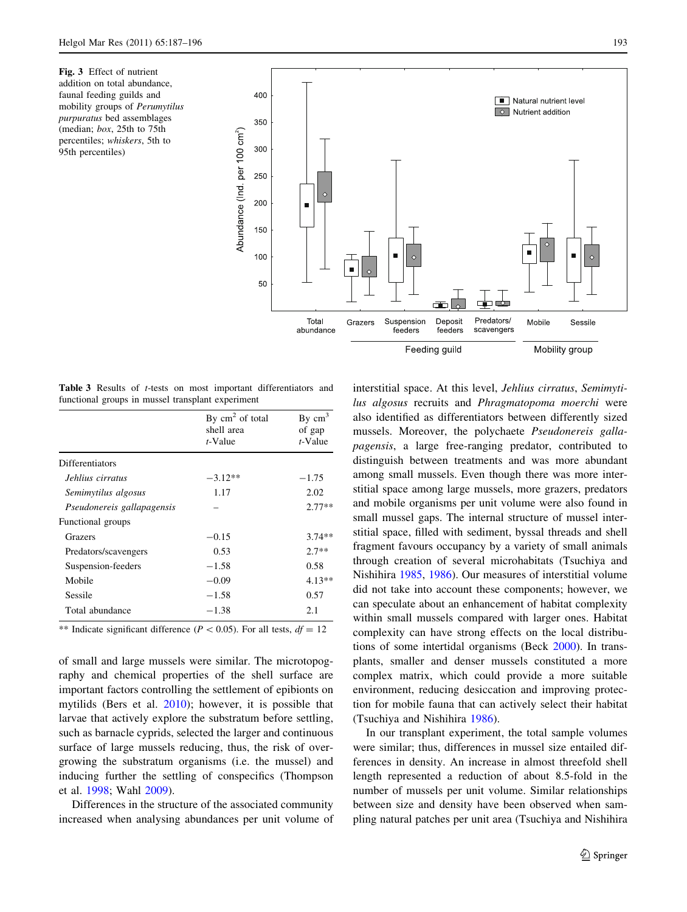<span id="page-6-0"></span>Fig. 3 Effect of nutrient addition on total abundance, faunal feeding guilds and mobility groups of Perumytilus purpuratus bed assemblages (median; box, 25th to 75th percentiles; whiskers, 5th to 95th percentiles)



Table 3 Results of t-tests on most important differentiators and functional groups in mussel transplant experiment

|                            | By $cm2$ of total<br>shell area<br>$t$ -Value | By $cm3$<br>of gap<br>$t$ -Value |
|----------------------------|-----------------------------------------------|----------------------------------|
| <b>Differentiators</b>     |                                               |                                  |
| Jehlius cirratus           | $-3.12**$                                     | $-1.75$                          |
| Semimytilus algosus        | 1.17                                          | 2.02                             |
| Pseudonereis gallapagensis |                                               | $2.77**$                         |
| Functional groups          |                                               |                                  |
| Grazers                    | $-0.15$                                       | $3.74**$                         |
| Predators/scavengers       | 0.53                                          | $2.7**$                          |
| Suspension-feeders         | $-1.58$                                       | 0.58                             |
| Mobile                     | $-0.09$                                       | $4.13**$                         |
| Sessile                    | $-1.58$                                       | 0.57                             |
| Total abundance            | $-1.38$                                       | 2.1                              |

\*\* Indicate significant difference ( $P < 0.05$ ). For all tests,  $df = 12$ 

of small and large mussels were similar. The microtopography and chemical properties of the shell surface are important factors controlling the settlement of epibionts on mytilids (Bers et al. [2010\)](#page-8-0); however, it is possible that larvae that actively explore the substratum before settling, such as barnacle cyprids, selected the larger and continuous surface of large mussels reducing, thus, the risk of overgrowing the substratum organisms (i.e. the mussel) and inducing further the settling of conspecifics (Thompson et al. [1998;](#page-9-0) Wahl [2009\)](#page-9-0).

Differences in the structure of the associated community increased when analysing abundances per unit volume of interstitial space. At this level, Jehlius cirratus, Semimytilus algosus recruits and Phragmatopoma moerchi were also identified as differentiators between differently sized mussels. Moreover, the polychaete Pseudonereis gallapagensis, a large free-ranging predator, contributed to distinguish between treatments and was more abundant among small mussels. Even though there was more interstitial space among large mussels, more grazers, predators and mobile organisms per unit volume were also found in small mussel gaps. The internal structure of mussel interstitial space, filled with sediment, byssal threads and shell fragment favours occupancy by a variety of small animals through creation of several microhabitats (Tsuchiya and Nishihira [1985](#page-9-0), [1986\)](#page-9-0). Our measures of interstitial volume did not take into account these components; however, we can speculate about an enhancement of habitat complexity within small mussels compared with larger ones. Habitat complexity can have strong effects on the local distributions of some intertidal organisms (Beck [2000\)](#page-8-0). In transplants, smaller and denser mussels constituted a more complex matrix, which could provide a more suitable environment, reducing desiccation and improving protection for mobile fauna that can actively select their habitat (Tsuchiya and Nishihira [1986\)](#page-9-0).

In our transplant experiment, the total sample volumes were similar; thus, differences in mussel size entailed differences in density. An increase in almost threefold shell length represented a reduction of about 8.5-fold in the number of mussels per unit volume. Similar relationships between size and density have been observed when sampling natural patches per unit area (Tsuchiya and Nishihira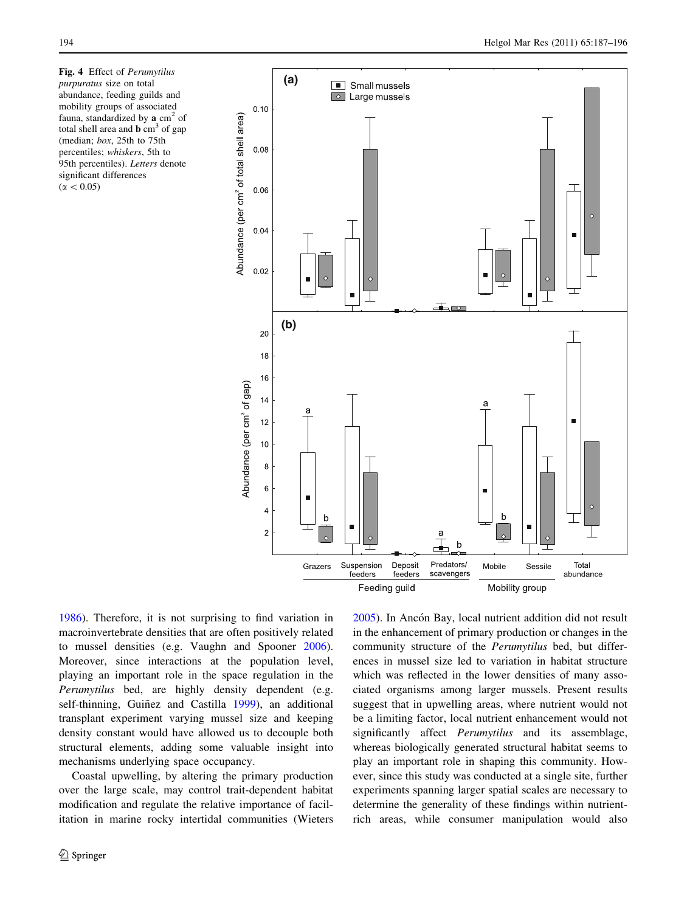<span id="page-7-0"></span>Fig. 4 Effect of Perumytilus purpuratus size on total abundance, feeding guilds and mobility groups of associated fauna, standardized by  $a$  cm<sup>2</sup> of total shell area and  **of gap** (median; box, 25th to 75th percentiles; whiskers, 5th to 95th percentiles). Letters denote significant differences  $(\alpha < 0.05)$ 



[1986\)](#page-9-0). Therefore, it is not surprising to find variation in macroinvertebrate densities that are often positively related to mussel densities (e.g. Vaughn and Spooner [2006](#page-9-0)). Moreover, since interactions at the population level, playing an important role in the space regulation in the Perumytilus bed, are highly density dependent (e.g. self-thinning, Guiñez and Castilla [1999](#page-8-0)), an additional transplant experiment varying mussel size and keeping density constant would have allowed us to decouple both structural elements, adding some valuable insight into mechanisms underlying space occupancy.

Coastal upwelling, by altering the primary production over the large scale, may control trait-dependent habitat modification and regulate the relative importance of facilitation in marine rocky intertidal communities (Wieters [2005](#page-9-0)). In Ancón Bay, local nutrient addition did not result in the enhancement of primary production or changes in the community structure of the Perumytilus bed, but differences in mussel size led to variation in habitat structure which was reflected in the lower densities of many associated organisms among larger mussels. Present results suggest that in upwelling areas, where nutrient would not be a limiting factor, local nutrient enhancement would not significantly affect Perumytilus and its assemblage, whereas biologically generated structural habitat seems to play an important role in shaping this community. However, since this study was conducted at a single site, further experiments spanning larger spatial scales are necessary to determine the generality of these findings within nutrientrich areas, while consumer manipulation would also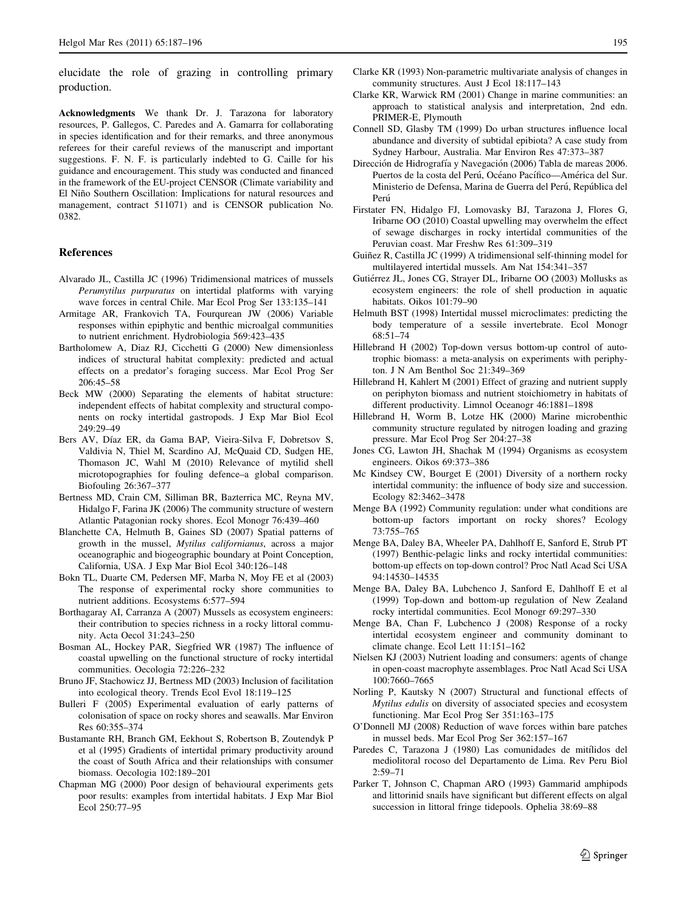<span id="page-8-0"></span>elucidate the role of grazing in controlling primary production.

Acknowledgments We thank Dr. J. Tarazona for laboratory resources, P. Gallegos, C. Paredes and A. Gamarra for collaborating in species identification and for their remarks, and three anonymous referees for their careful reviews of the manuscript and important suggestions. F. N. F. is particularly indebted to G. Caille for his guidance and encouragement. This study was conducted and financed in the framework of the EU-project CENSOR (Climate variability and El Niño Southern Oscillation: Implications for natural resources and management, contract 511071) and is CENSOR publication No. 0382.

#### References

- Alvarado JL, Castilla JC (1996) Tridimensional matrices of mussels Perumytilus purpuratus on intertidal platforms with varying wave forces in central Chile. Mar Ecol Prog Ser 133:135–141
- Armitage AR, Frankovich TA, Fourqurean JW (2006) Variable responses within epiphytic and benthic microalgal communities to nutrient enrichment. Hydrobiologia 569:423–435
- Bartholomew A, Diaz RJ, Cicchetti G (2000) New dimensionless indices of structural habitat complexity: predicted and actual effects on a predator's foraging success. Mar Ecol Prog Ser 206:45–58
- Beck MW (2000) Separating the elements of habitat structure: independent effects of habitat complexity and structural components on rocky intertidal gastropods. J Exp Mar Biol Ecol 249:29–49
- Bers AV, Díaz ER, da Gama BAP, Vieira-Silva F, Dobretsov S, Valdivia N, Thiel M, Scardino AJ, McQuaid CD, Sudgen HE, Thomason JC, Wahl M (2010) Relevance of mytilid shell microtopographies for fouling defence–a global comparison. Biofouling 26:367–377
- Bertness MD, Crain CM, Silliman BR, Bazterrica MC, Reyna MV, Hidalgo F, Farina JK (2006) The community structure of western Atlantic Patagonian rocky shores. Ecol Monogr 76:439–460
- Blanchette CA, Helmuth B, Gaines SD (2007) Spatial patterns of growth in the mussel, Mytilus californianus, across a major oceanographic and biogeographic boundary at Point Conception, California, USA. J Exp Mar Biol Ecol 340:126–148
- Bokn TL, Duarte CM, Pedersen MF, Marba N, Moy FE et al (2003) The response of experimental rocky shore communities to nutrient additions. Ecosystems 6:577–594
- Borthagaray AI, Carranza A (2007) Mussels as ecosystem engineers: their contribution to species richness in a rocky littoral community. Acta Oecol 31:243–250
- Bosman AL, Hockey PAR, Siegfried WR (1987) The influence of coastal upwelling on the functional structure of rocky intertidal communities. Oecologia 72:226–232
- Bruno JF, Stachowicz JJ, Bertness MD (2003) Inclusion of facilitation into ecological theory. Trends Ecol Evol 18:119–125
- Bulleri F (2005) Experimental evaluation of early patterns of colonisation of space on rocky shores and seawalls. Mar Environ Res 60:355–374
- Bustamante RH, Branch GM, Eekhout S, Robertson B, Zoutendyk P et al (1995) Gradients of intertidal primary productivity around the coast of South Africa and their relationships with consumer biomass. Oecologia 102:189–201
- Chapman MG (2000) Poor design of behavioural experiments gets poor results: examples from intertidal habitats. J Exp Mar Biol Ecol 250:77–95
- Clarke KR (1993) Non-parametric multivariate analysis of changes in community structures. Aust J Ecol 18:117–143
- Clarke KR, Warwick RM (2001) Change in marine communities: an approach to statistical analysis and interpretation, 2nd edn. PRIMER-E, Plymouth
- Connell SD, Glasby TM (1999) Do urban structures influence local abundance and diversity of subtidal epibiota? A case study from Sydney Harbour, Australia. Mar Environ Res 47:373–387
- Dirección de Hidrografía y Navegación (2006) Tabla de mareas 2006. Puertos de la costa del Perú, Océano Pacífico-América del Sur. Ministerio de Defensa, Marina de Guerra del Perú, República del Perú
- Firstater FN, Hidalgo FJ, Lomovasky BJ, Tarazona J, Flores G, Iribarne OO (2010) Coastal upwelling may overwhelm the effect of sewage discharges in rocky intertidal communities of the Peruvian coast. Mar Freshw Res 61:309–319
- Guiñez R, Castilla JC (1999) A tridimensional self-thinning model for multilayered intertidal mussels. Am Nat 154:341–357
- Gutiérrez JL, Jones CG, Strayer DL, Iribarne OO (2003) Mollusks as ecosystem engineers: the role of shell production in aquatic habitats. Oikos 101:79–90
- Helmuth BST (1998) Intertidal mussel microclimates: predicting the body temperature of a sessile invertebrate. Ecol Monogr 68:51–74
- Hillebrand H (2002) Top-down versus bottom-up control of autotrophic biomass: a meta-analysis on experiments with periphyton. J N Am Benthol Soc 21:349–369
- Hillebrand H, Kahlert M (2001) Effect of grazing and nutrient supply on periphyton biomass and nutrient stoichiometry in habitats of different productivity. Limnol Oceanogr 46:1881–1898
- Hillebrand H, Worm B, Lotze HK (2000) Marine microbenthic community structure regulated by nitrogen loading and grazing pressure. Mar Ecol Prog Ser 204:27–38
- Jones CG, Lawton JH, Shachak M (1994) Organisms as ecosystem engineers. Oikos 69:373–386
- Mc Kindsey CW, Bourget E (2001) Diversity of a northern rocky intertidal community: the influence of body size and succession. Ecology 82:3462–3478
- Menge BA (1992) Community regulation: under what conditions are bottom-up factors important on rocky shores? Ecology 73:755–765
- Menge BA, Daley BA, Wheeler PA, Dahlhoff E, Sanford E, Strub PT (1997) Benthic-pelagic links and rocky intertidal communities: bottom-up effects on top-down control? Proc Natl Acad Sci USA 94:14530–14535
- Menge BA, Daley BA, Lubchenco J, Sanford E, Dahlhoff E et al (1999) Top-down and bottom-up regulation of New Zealand rocky intertidal communities. Ecol Monogr 69:297–330
- Menge BA, Chan F, Lubchenco J (2008) Response of a rocky intertidal ecosystem engineer and community dominant to climate change. Ecol Lett 11:151–162
- Nielsen KJ (2003) Nutrient loading and consumers: agents of change in open-coast macrophyte assemblages. Proc Natl Acad Sci USA 100:7660–7665
- Norling P, Kautsky N (2007) Structural and functional effects of Mytilus edulis on diversity of associated species and ecosystem functioning. Mar Ecol Prog Ser 351:163–175
- O'Donnell MJ (2008) Reduction of wave forces within bare patches in mussel beds. Mar Ecol Prog Ser 362:157–167
- Paredes C, Tarazona J (1980) Las comunidades de mitílidos del mediolitoral rocoso del Departamento de Lima. Rev Peru Biol 2:59–71
- Parker T, Johnson C, Chapman ARO (1993) Gammarid amphipods and littorinid snails have significant but different effects on algal succession in littoral fringe tidepools. Ophelia 38:69–88